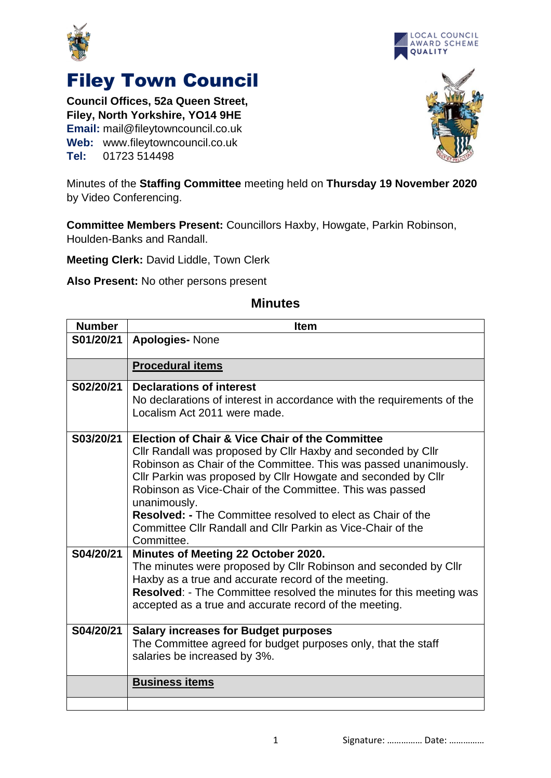



## Filey Town Council

**Council Offices, 52a Queen Street, Filey, North Yorkshire, YO14 9HE Email:** mail@fileytowncouncil.co.uk **Web:** www.fileytowncouncil.co.uk **Tel:** 01723 514498



Minutes of the **Staffing Committee** meeting held on **Thursday 19 November 2020** by Video Conferencing.

**Committee Members Present:** Councillors Haxby, Howgate, Parkin Robinson, Houlden-Banks and Randall.

**Meeting Clerk:** David Liddle, Town Clerk

**Also Present:** No other persons present

| <b>Number</b> | <b>Item</b>                                                                                                                                                                                                                                                                                                                                                                                                                                                                                    |
|---------------|------------------------------------------------------------------------------------------------------------------------------------------------------------------------------------------------------------------------------------------------------------------------------------------------------------------------------------------------------------------------------------------------------------------------------------------------------------------------------------------------|
| S01/20/21     | <b>Apologies-None</b>                                                                                                                                                                                                                                                                                                                                                                                                                                                                          |
|               | <b>Procedural items</b>                                                                                                                                                                                                                                                                                                                                                                                                                                                                        |
| S02/20/21     | <b>Declarations of interest</b><br>No declarations of interest in accordance with the requirements of the<br>Localism Act 2011 were made.                                                                                                                                                                                                                                                                                                                                                      |
| S03/20/21     | <b>Election of Chair &amp; Vice Chair of the Committee</b><br>Cllr Randall was proposed by Cllr Haxby and seconded by Cllr<br>Robinson as Chair of the Committee. This was passed unanimously.<br>Cllr Parkin was proposed by Cllr Howgate and seconded by Cllr<br>Robinson as Vice-Chair of the Committee. This was passed<br>unanimously.<br><b>Resolved: - The Committee resolved to elect as Chair of the</b><br>Committee Cllr Randall and Cllr Parkin as Vice-Chair of the<br>Committee. |
| S04/20/21     | Minutes of Meeting 22 October 2020.<br>The minutes were proposed by CIIr Robinson and seconded by CIIr<br>Haxby as a true and accurate record of the meeting.<br>Resolved: - The Committee resolved the minutes for this meeting was<br>accepted as a true and accurate record of the meeting.                                                                                                                                                                                                 |
| S04/20/21     | <b>Salary increases for Budget purposes</b><br>The Committee agreed for budget purposes only, that the staff<br>salaries be increased by 3%.                                                                                                                                                                                                                                                                                                                                                   |
|               | <b>Business items</b>                                                                                                                                                                                                                                                                                                                                                                                                                                                                          |

## **Minutes**